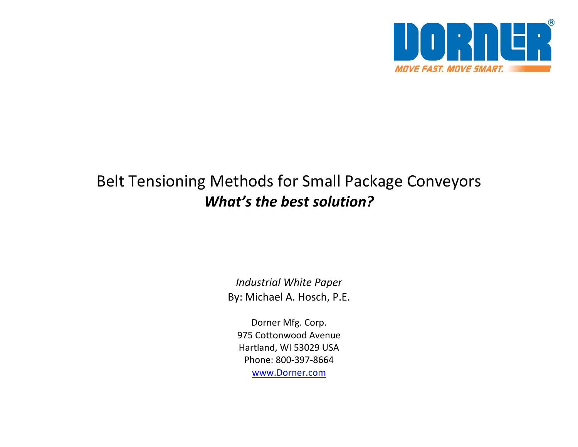

# Belt Tensioning Methods for Small Package Conveyors *What's the best solution?*

*Industrial White Paper* By: Michael A. Hosch, P.E.

Dorner Mfg. Corp. 975 Cottonwood Avenue Hartland, WI 53029 USA Phone: 800‐397‐8664 [www.Dorner.com](http://www.dorner.com/)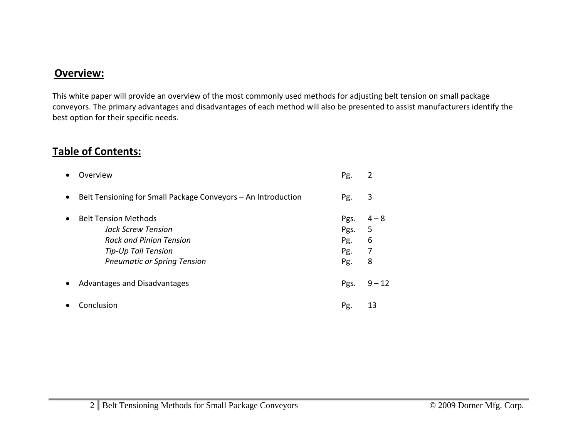## **Overview:**

This white paper will provide an overview of the most commonly used methods for adjusting belt tension on small package conveyors. The primary advantages and disadvantages of each method will also be presented to assist manufacturers identify the best option for their specific needs.

# **Table of Contents:**

| Overview                                                                                                                                         | Pg.                               | 2                           |
|--------------------------------------------------------------------------------------------------------------------------------------------------|-----------------------------------|-----------------------------|
| Belt Tensioning for Small Package Conveyors - An Introduction                                                                                    | Pg.                               | 3                           |
| <b>Belt Tension Methods</b><br>Jack Screw Tension<br><b>Rack and Pinion Tension</b><br>Tip-Up Tail Tension<br><b>Pneumatic or Spring Tension</b> | Pgs.<br>Pgs.<br>Pg.<br>Pg.<br>Pg. | $4 - 8$<br>5<br>6<br>7<br>8 |
| Advantages and Disadvantages                                                                                                                     | Pgs.                              | $9 - 12$                    |
| Conclusion                                                                                                                                       | Pg.                               | 13                          |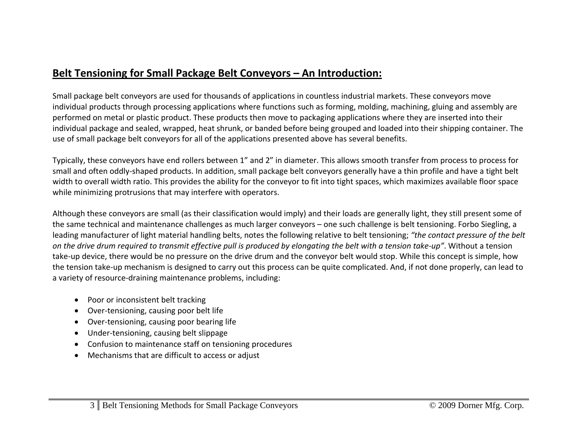# **Belt Tensioning for Small Package Belt Conveyors – An Introduction:**

Small package belt conveyors are used for thousands of applications in countless industrial markets. These conveyors move individual products through processing applications where functions such as forming, molding, machining, gluing and assembly are performed on metal or plastic product. These products then move to packaging applications where they are inserted into their individual package and sealed, wrapped, heat shrunk, or banded before being grouped and loaded into their shipping container. The use of small package belt conveyors for all of the applications presented above has several benefits.

Typically, these conveyors have end rollers between 1" and 2" in diameter. This allows smooth transfer from process to process for small and often oddly‐shaped products. In addition, small package belt conveyors generally have <sup>a</sup> thin profile and have <sup>a</sup> tight belt width to overall width ratio. This provides the ability for the conveyor to fit into tight spaces, which maximizes available floor space while minimizing protrusions that may interfere with operators.

Although these conveyors are small (as their classification would imply) and their loads are generally light, they still present some of the same technical and maintenance challenges as much larger conveyors – one such challenge is belt tensioning. Forbo Siegling, <sup>a</sup> leading manufacturer of light material handling belts, notes the following relative to belt tensioning; *"the contact pressure of the belt* on the drive drum required to transmit effective pull is produced by elongating the belt with a tension take-up". Without a tension take‐up device, there would be no pressure on the drive drum and the conveyor belt would stop. While this concept is simple, how the tension take‐up mechanism is designed to carry out this process can be quite complicated. And, if not done properly, can lead to a variety of resource‐draining maintenance problems, including:

- Poor or inconsistent belt tracking
- Over-tensioning, causing poor belt life
- Over-tensioning, causing poor bearing life
- Under-tensioning, causing belt slippage
- Confusion to maintenance staff on tensioning procedures
- Mechanisms that are difficult to access or adjust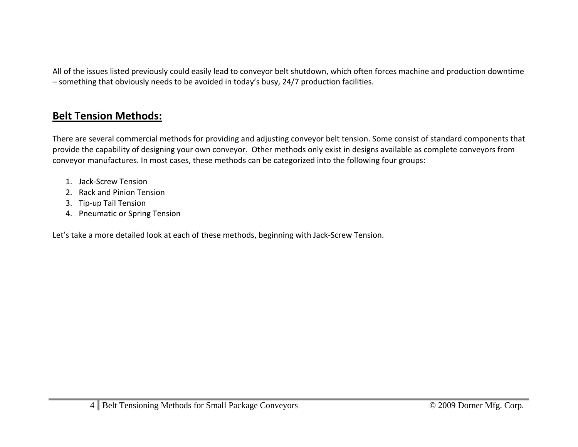All of the issues listed previously could easily lead to conveyor belt shutdown, which often forces machine and production downtime – something that obviously needs to be avoided in today's busy, 24/7 production facilities.

# **Belt Tension Methods:**

There are several commercial methods for providing and adjusting conveyor belt tension. Some consist of standard components that provide the capability of designing your own conveyor. Other methods only exist in designs available as complete conveyors from conveyor manufactures. In most cases, these methods can be categorized into the following four groups:

- 1. Jack‐Screw Tension
- 2. Rack and Pinion Tension
- 3. Tip‐up Tail Tension
- 4. Pneumatic or Spring Tension

Let's take <sup>a</sup> more detailed look at each of these methods, beginning with Jack‐Screw Tension.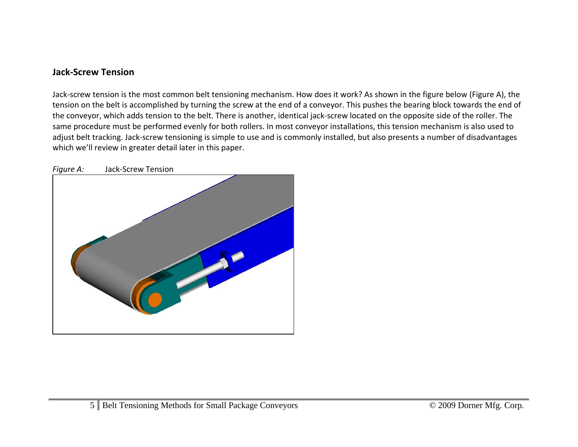## **Jack‐Screw Tension**

Jack‐screw tension is the most common belt tensioning mechanism. How does it work? As shown in the figure below (Figure A), the tension on the belt is accomplished by turning the screw at the end of <sup>a</sup> conveyor. This pushes the bearing block towards the end of the conveyor, which adds tension to the belt. There is another, identical jack‐screw located on the opposite side of the roller. The same procedure must be performed evenly for both rollers. In most conveyor installations, this tension mechanism is also used to adjust belt tracking. Jack‐screw tensioning is simple to use and is commonly installed, but also presents <sup>a</sup> number of disadvantages which we'll review in greater detail later in this paper.



*Figure A:* Jack‐Screw Tension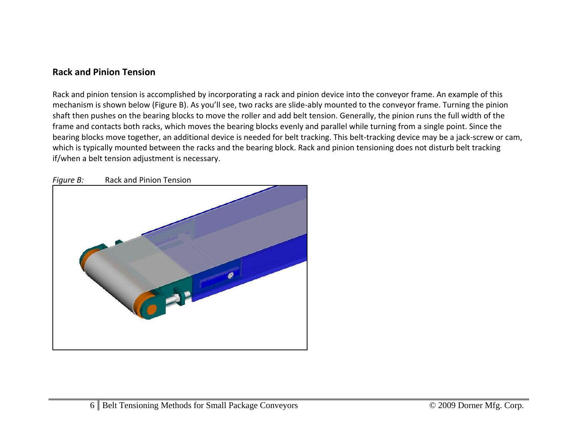## **Rack and Pinion Tension**

Rack and pinion tension is accomplished by incorporating <sup>a</sup> rack and pinion device into the conveyor frame. An example of this mechanism is shown below (Figure B). As you'll see, two racks are slide‐ably mounted to the conveyor frame. Turning the pinion shaft then pushes on the bearing blocks to move the roller and add belt tension. Generally, the pinion runs the full width of the frame and contacts both racks, which moves the bearing blocks evenly and parallel while turning from <sup>a</sup> single point. Since the bearing blocks move together, an additional device is needed for belt tracking. This belt‐tracking device may be <sup>a</sup> jack‐screw or cam, which is typically mounted between the racks and the bearing block. Rack and pinion tensioning does not disturb belt tracking if/when <sup>a</sup> belt tension adjustment is necessary.



*Figure B:* Rack and Pinion Tension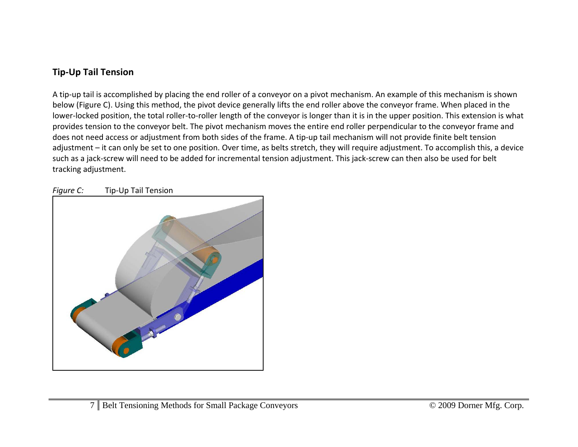# **Tip‐Up Tail Tension**

A tip‐up tail is accomplished by placing the end roller of <sup>a</sup> conveyor on <sup>a</sup> pivot mechanism. An example of this mechanism is shown below (Figure C). Using this method, the pivot device generally lifts the end roller above the conveyor frame. When placed in the lower‐locked position, the total roller‐to‐roller length of the conveyor is longer than it is in the upper position. This extension is what provides tension to the conveyor belt. The pivot mechanism moves the entire end roller perpendicular to the conveyor frame and does not need access or adjustment from both sides of the frame. A tip‐up tail mechanism will not provide finite belt tension adjustment – it can only be set to one position. Over time, as belts stretch, they will require adjustment. To accomplish this, <sup>a</sup> device such as <sup>a</sup> jack‐screw will need to be added for incremental tension adjustment. This jack‐screw can then also be used for belt tracking adjustment.



*Figure C:* Tip‐Up Tail Tension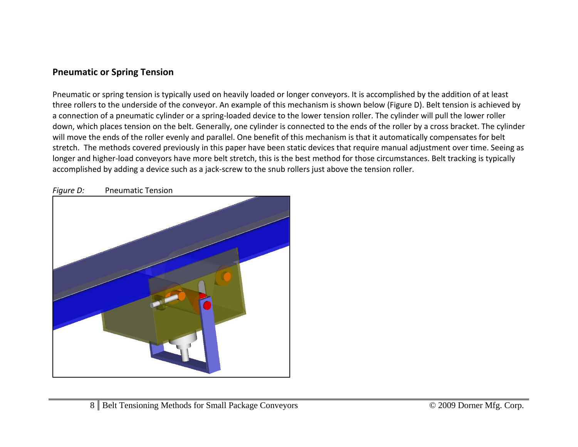## **Pneumatic or Spring Tension**

Pneumatic or spring tension is typically used on heavily loaded or longer conveyors. It is accomplished by the addition of at least three rollers to the underside of the conveyor. An example of this mechanism is shown below (Figure D). Belt tension is achieved by a connection of <sup>a</sup> pneumatic cylinder or <sup>a</sup> spring‐loaded device to the lower tension roller. The cylinder will pull the lower roller down, which places tension on the belt. Generally, one cylinder is connected to the ends of the roller by <sup>a</sup> cross bracket. The cylinder will move the ends of the roller evenly and parallel. One benefit of this mechanism is that it automatically compensates for belt stretch. The methods covered previously in this paper have been static devices that require manual adjustment over time. Seeing as longer and higher‐load conveyors have more belt stretch, this is the best method for those circumstances. Belt tracking is typically accomplished by adding a device such as a jack-screw to the snub rollers just above the tension roller.



*Figure D:* Pneumatic Tension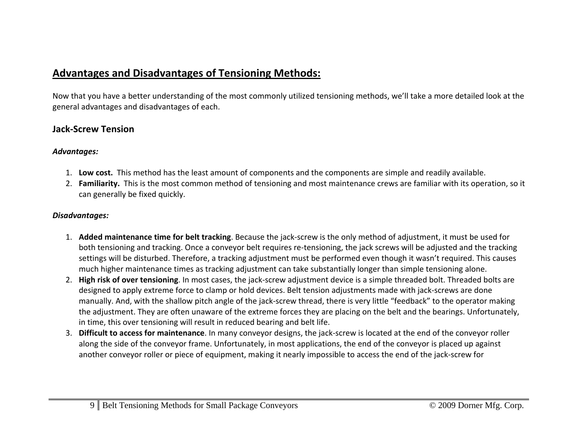# **Advantages and Disadvantages of Tensioning Methods:**

Now that you have <sup>a</sup> better understanding of the most commonly utilized tensioning methods, we'll take <sup>a</sup> more detailed look at the general advantages and disadvantages of each.

## **Jack‐Screw Tension**

#### *Advantages:*

- 1. **Low cost.** This method has the least amount of components and the components are simple and readily available.
- 2. **Familiarity.** This is the most common method of tensioning and most maintenance crews are familiar with its operation, so it can generally be fixed quickly.

#### *Disadvantages:*

- 1. **Added maintenance time for belt tracking**. Because the jack‐screw is the only method of adjustment, it must be used for both tensioning and tracking. Once <sup>a</sup> conveyor belt requires re‐tensioning, the jack screws will be adjusted and the tracking settings will be disturbed. Therefore, <sup>a</sup> tracking adjustment must be performed even though it wasn't required. This causes much higher maintenance times as tracking adjustment can take substantially longer than simple tensioning alone.
- 2. **High risk of over tensioning**. In most cases, the jack‐screw adjustment device is <sup>a</sup> simple threaded bolt. Threaded bolts are designed to apply extreme force to clamp or hold devices. Belt tension adjustments made with jack‐screws are done manually. And, with the shallow pitch angle of the jack‐screw thread, there is very little "feedback" to the operator making the adjustment. They are often unaware of the extreme forces they are placing on the belt and the bearings. Unfortunately, in time, this over tensioning will result in reduced bearing and belt life.
- 3. **Difficult to access for maintenance**. In many conveyor designs, the jack‐screw is located at the end of the conveyor roller along the side of the conveyor frame. Unfortunately, in most applications, the end of the conveyor is placed up against another conveyor roller or piece of equipment, making it nearly impossible to access the end of the jack‐screw for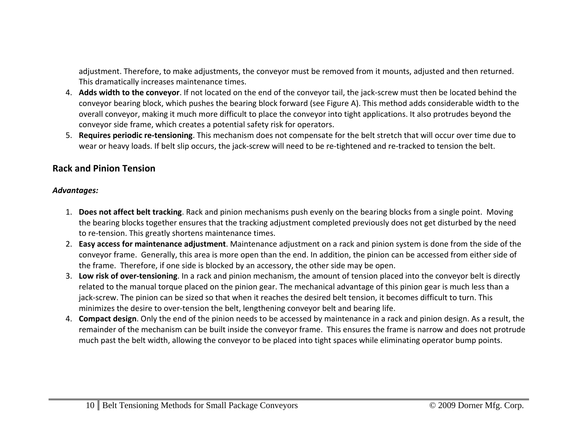adjustment. Therefore, to make adjustments, the conveyor must be removed from it mounts, adjusted and then returned. This dramatically increases maintenance times.

- 4. **Adds width to the conveyor**. If not located on the end of the conveyor tail, the jack‐screw must then be located behind the conveyor bearing block, which pushes the bearing block forward (see Figure A). This method adds considerable width to the overall conveyor, making it much more difficult to place the conveyor into tight applications. It also protrudes beyond the conveyor side frame, which creates <sup>a</sup> potential safety risk for operators.
- 5. **Requires periodic re‐tensioning**. This mechanism does not compensate for the belt stretch that will occur over time due to wear or heavy loads. If belt slip occurs, the jack‐screw will need to be re‐tightened and re‐tracked to tension the belt.

## **Rack and Pinion Tension**

#### *Advantages:*

- 1. **Does not affect belt tracking**. Rack and pinion mechanisms push evenly on the bearing blocks from <sup>a</sup> single point. Moving the bearing blocks together ensures that the tracking adjustment completed previously does not get disturbed by the need to re‐tension. This greatly shortens maintenance times.
- 2. **Easy access for maintenance adjustment**. Maintenance adjustment on <sup>a</sup> rack and pinion system is done from the side of the conveyor frame. Generally, this area is more open than the end. In addition, the pinion can be accessed from either side of the frame. Therefore, if one side is blocked by an accessory, the other side may be open.
- 3. **Low risk of over‐tensioning**. In <sup>a</sup> rack and pinion mechanism, the amount of tension placed into the conveyor belt is directly related to the manual torque placed on the pinion gear. The mechanical advantage of this pinion gear is much less than <sup>a</sup> jack-screw. The pinion can be sized so that when it reaches the desired belt tension, it becomes difficult to turn. This minimizes the desire to over‐tension the belt, lengthening conveyor belt and bearing life.
- 4. **Compact design**. Only the end of the pinion needs to be accessed by maintenance in <sup>a</sup> rack and pinion design. As <sup>a</sup> result, the remainder of the mechanism can be built inside the conveyor frame. This ensures the frame is narrow and does not protrude much past the belt width, allowing the conveyor to be placed into tight spaces while eliminating operator bump points.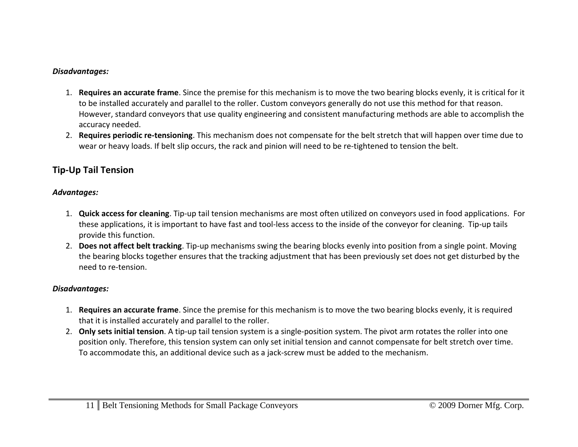#### *Disadvantages:*

- 1. **Requires an accurate frame**. Since the premise for this mechanism is to move the two bearing blocks evenly, it is critical for it to be installed accurately and parallel to the roller. Custom conveyors generally do not use this method for that reason. However, standard conveyors that use quality engineering and consistent manufacturing methods are able to accomplish the accuracy needed.
- 2. **Requires periodic re‐tensioning**. This mechanism does not compensate for the belt stretch that will happen over time due to wear or heavy loads. If belt slip occurs, the rack and pinion will need to be re‐tightened to tension the belt.

# **Tip‐Up Tail Tension**

#### *Advantages:*

- 1. **Quick access for cleaning**. Tip‐up tail tension mechanisms are most often utilized on conveyors used in food applications. For these applications, it is important to have fast and tool‐less access to the inside of the conveyor for cleaning. Tip‐up tails provide this function.
- 2. **Does not affect belt tracking**. Tip‐up mechanisms swing the bearing blocks evenly into position from <sup>a</sup> single point. Moving the bearing blocks together ensures that the tracking adjustment that has been previously set does not get disturbed by the need to re‐tension.

### *Disadvantages:*

- 1. **Requires an accurate frame**. Since the premise for this mechanism is to move the two bearing blocks evenly, it is required that it is installed accurately and parallel to the roller.
- 2. **Only sets initial tension**. A tip‐up tail tension system is <sup>a</sup> single‐position system. The pivot arm rotates the roller into one position only. Therefore, this tension system can only set initial tension and cannot compensate for belt stretch over time. To accommodate this, an additional device such as <sup>a</sup> jack‐screw must be added to the mechanism.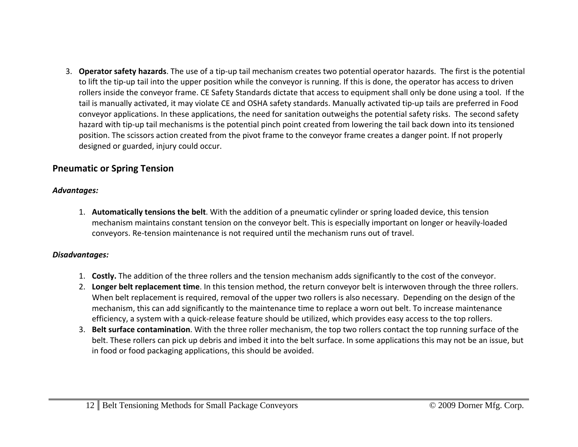3. **Operator safety hazards**. The use of <sup>a</sup> tip‐up tail mechanism creates two potential operator hazards. The first is the potential to lift the tip‐up tail into the upper position while the conveyor is running. If this is done, the operator has access to driven rollers inside the conveyor frame. CE Safety Standards dictate that access to equipment shall only be done using <sup>a</sup> tool. If the tail is manually activated, it may violate CE and OSHA safety standards. Manually activated tip‐up tails are preferred in Food conveyor applications. In these applications, the need for sanitation outweighs the potential safety risks. The second safety hazard with tip‐up tail mechanisms is the potential pinch point created from lowering the tail back down into its tensioned position. The scissors action created from the pivot frame to the conveyor frame creates <sup>a</sup> danger point. If not properly designed or guarded, injury could occur.

## **Pneumatic or Spring Tension**

### *Advantages:*

1. **Automatically tensions the belt**. With the addition of <sup>a</sup> pneumatic cylinder or spring loaded device, this tension mechanism maintains constant tension on the conveyor belt. This is especially important on longer or heavily‐loaded conveyors. Re‐tension maintenance is not required until the mechanism runs out of travel.

### *Disadvantages:*

- 1. **Costly.** The addition of the three rollers and the tension mechanism adds significantly to the cost of the conveyor.
- 2. **Longer belt replacement time**. In this tension method, the return conveyor belt is interwoven through the three rollers. When belt replacement is required, removal of the upper two rollers is also necessary. Depending on the design of the mechanism, this can add significantly to the maintenance time to replace <sup>a</sup> worn out belt. To increase maintenance efficiency, <sup>a</sup> system with <sup>a</sup> quick‐release feature should be utilized, which provides easy access to the top rollers.
- 3. **Belt surface contamination**. With the three roller mechanism, the top two rollers contact the top running surface of the belt. These rollers can pick up debris and imbed it into the belt surface. In some applications this may not be an issue, but in food or food packaging applications, this should be avoided.